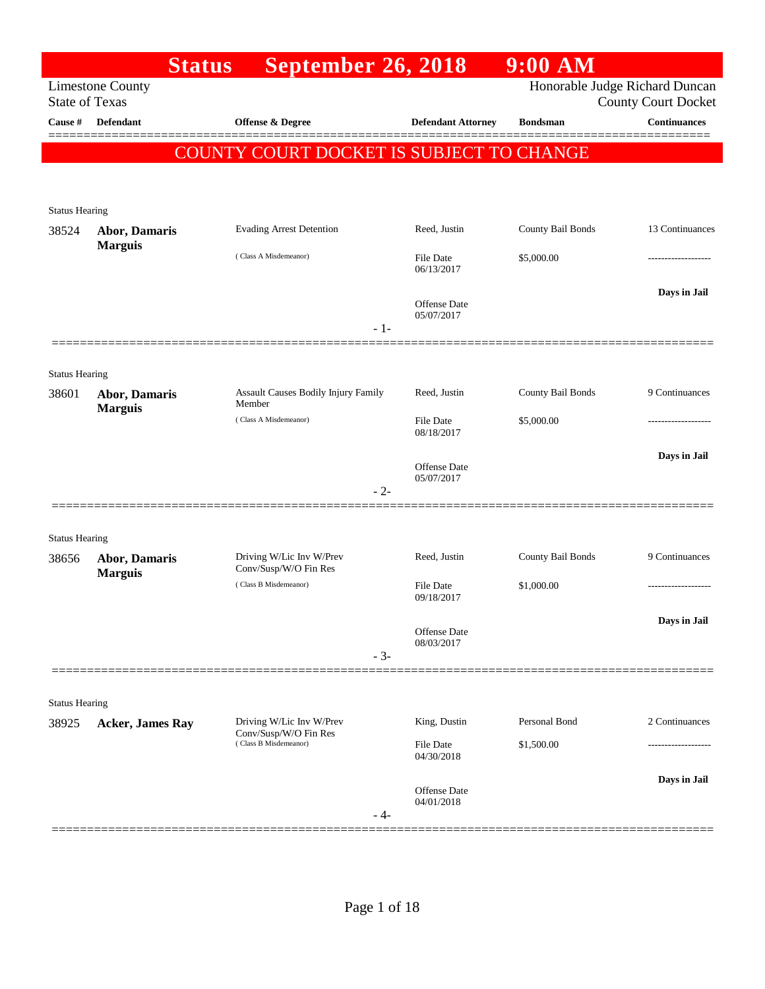|                                | <b>Status</b>                   | <b>September 26, 2018</b>                         |                                   | $9:00$ AM         |                                                              |
|--------------------------------|---------------------------------|---------------------------------------------------|-----------------------------------|-------------------|--------------------------------------------------------------|
| <b>State of Texas</b>          | <b>Limestone County</b>         |                                                   |                                   |                   | Honorable Judge Richard Duncan<br><b>County Court Docket</b> |
| Cause #                        | <b>Defendant</b>                | <b>Offense &amp; Degree</b>                       | <b>Defendant Attorney</b>         | <b>Bondsman</b>   | <b>Continuances</b>                                          |
|                                |                                 | COUNTY COURT DOCKET IS SUBJECT TO CHANGE          |                                   |                   |                                                              |
|                                |                                 |                                                   |                                   |                   |                                                              |
|                                |                                 |                                                   |                                   |                   |                                                              |
| <b>Status Hearing</b><br>38524 | Abor, Damaris                   | <b>Evading Arrest Detention</b>                   | Reed, Justin                      | County Bail Bonds | 13 Continuances                                              |
|                                | <b>Marguis</b>                  | (Class A Misdemeanor)                             | <b>File Date</b>                  | \$5,000.00        |                                                              |
|                                |                                 |                                                   | 06/13/2017                        |                   |                                                              |
|                                |                                 |                                                   | <b>Offense Date</b>               |                   | Days in Jail                                                 |
|                                |                                 | $-1-$                                             | 05/07/2017                        |                   |                                                              |
|                                |                                 |                                                   |                                   |                   |                                                              |
| <b>Status Hearing</b>          |                                 |                                                   |                                   |                   |                                                              |
| 38601                          | <b>Abor, Damaris</b>            | Assault Causes Bodily Injury Family<br>Member     | Reed, Justin                      | County Bail Bonds | 9 Continuances                                               |
|                                | <b>Marguis</b>                  | (Class A Misdemeanor)                             | <b>File Date</b>                  | \$5,000.00        |                                                              |
|                                |                                 |                                                   | 08/18/2017                        |                   |                                                              |
|                                |                                 |                                                   | <b>Offense Date</b>               |                   | Days in Jail                                                 |
|                                |                                 | $-2-$                                             | 05/07/2017                        |                   |                                                              |
|                                |                                 |                                                   |                                   |                   |                                                              |
| <b>Status Hearing</b>          |                                 |                                                   |                                   |                   |                                                              |
| 38656                          | Abor, Damaris<br><b>Marguis</b> | Driving W/Lic Inv W/Prev<br>Conv/Susp/W/O Fin Res | Reed, Justin                      | County Bail Bonds | 9 Continuances                                               |
|                                |                                 | (Class B Misdemeanor)                             | <b>File Date</b><br>09/18/2017    | \$1,000.00        |                                                              |
|                                |                                 |                                                   |                                   |                   | Days in Jail                                                 |
|                                |                                 |                                                   | <b>Offense Date</b><br>08/03/2017 |                   |                                                              |
|                                |                                 | $-3-$                                             |                                   |                   |                                                              |
|                                |                                 |                                                   |                                   |                   |                                                              |
| <b>Status Hearing</b>          |                                 | Driving W/Lic Inv W/Prev                          | King, Dustin                      | Personal Bond     | 2 Continuances                                               |
| 38925                          | <b>Acker, James Ray</b>         | Conv/Susp/W/O Fin Res<br>(Class B Misdemeanor)    | File Date                         | \$1,500.00        |                                                              |
|                                |                                 |                                                   | 04/30/2018                        |                   |                                                              |
|                                |                                 |                                                   | Offense Date                      |                   | Days in Jail                                                 |
|                                |                                 | - 4-                                              | 04/01/2018                        |                   |                                                              |
|                                |                                 |                                                   |                                   |                   |                                                              |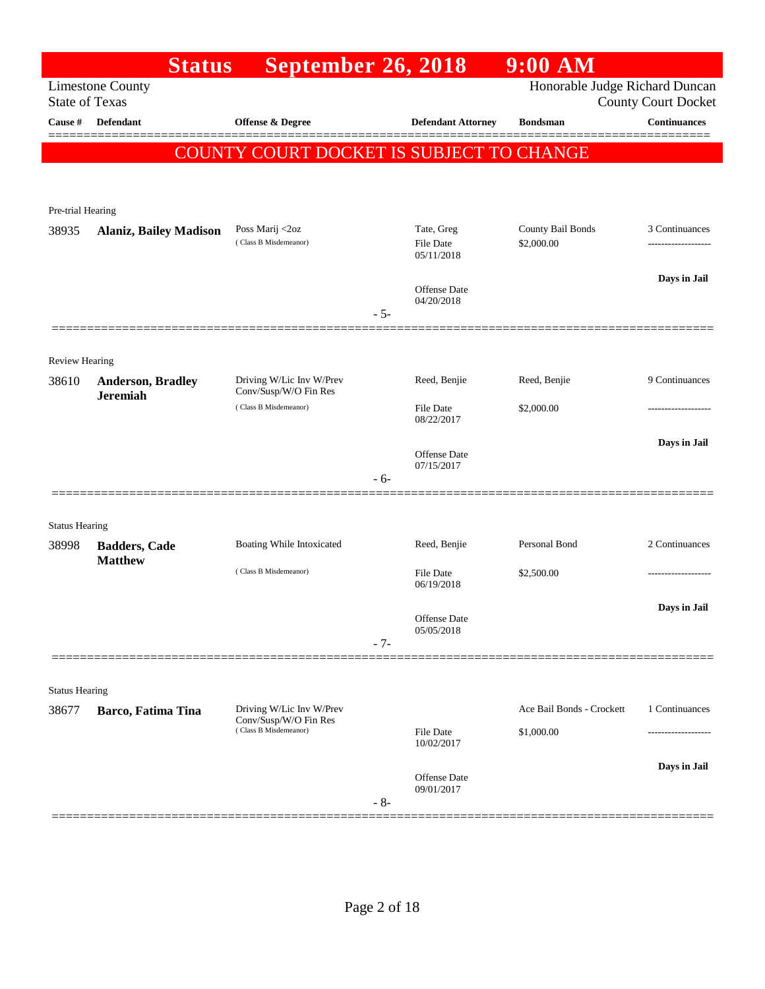|                       | <b>Status</b>                               | <b>September 26, 2018</b>                                                  |       |                                              | $9:00$ AM                       |                            |
|-----------------------|---------------------------------------------|----------------------------------------------------------------------------|-------|----------------------------------------------|---------------------------------|----------------------------|
| <b>State of Texas</b> | <b>Limestone County</b>                     |                                                                            |       |                                              | Honorable Judge Richard Duncan  | <b>County Court Docket</b> |
| Cause #               | <b>Defendant</b>                            | <b>Offense &amp; Degree</b>                                                |       | <b>Defendant Attorney</b>                    | <b>Bondsman</b>                 | <b>Continuances</b>        |
|                       |                                             | COUNTY COURT DOCKET IS SUBJECT TO CHANGE                                   |       |                                              |                                 |                            |
|                       |                                             |                                                                            |       |                                              |                                 |                            |
|                       |                                             |                                                                            |       |                                              |                                 |                            |
| Pre-trial Hearing     |                                             |                                                                            |       |                                              |                                 |                            |
| 38935                 | <b>Alaniz, Bailey Madison</b>               | Poss Marij <2oz<br>(Class B Misdemeanor)                                   |       | Tate, Greg<br><b>File Date</b><br>05/11/2018 | County Bail Bonds<br>\$2,000.00 | 3 Continuances             |
|                       |                                             |                                                                            |       | <b>Offense Date</b><br>04/20/2018            |                                 | Days in Jail               |
|                       |                                             |                                                                            | $-5-$ |                                              |                                 |                            |
|                       |                                             |                                                                            |       |                                              |                                 |                            |
| <b>Review Hearing</b> |                                             |                                                                            |       |                                              |                                 |                            |
| 38610                 | <b>Anderson, Bradley</b><br><b>Jeremiah</b> | Driving W/Lic Inv W/Prev<br>Conv/Susp/W/O Fin Res                          |       | Reed, Benjie                                 | Reed, Benjie                    | 9 Continuances             |
|                       |                                             | (Class B Misdemeanor)                                                      |       | <b>File Date</b><br>08/22/2017               | \$2,000.00                      |                            |
|                       |                                             |                                                                            |       | <b>Offense Date</b><br>07/15/2017            |                                 | Days in Jail               |
|                       |                                             |                                                                            | $-6-$ |                                              |                                 |                            |
|                       |                                             |                                                                            |       |                                              |                                 |                            |
| <b>Status Hearing</b> |                                             |                                                                            |       |                                              | Personal Bond                   | 2 Continuances             |
| 38998                 | <b>Badders, Cade</b><br><b>Matthew</b>      | Boating While Intoxicated                                                  |       | Reed, Benjie                                 |                                 |                            |
|                       |                                             | (Class B Misdemeanor)                                                      |       | <b>File Date</b><br>06/19/2018               | \$2,500.00                      |                            |
|                       |                                             |                                                                            |       |                                              |                                 | Days in Jail               |
|                       |                                             |                                                                            |       | Offense Date<br>05/05/2018                   |                                 |                            |
|                       |                                             |                                                                            | $-7-$ |                                              |                                 |                            |
|                       |                                             |                                                                            |       |                                              |                                 |                            |
| <b>Status Hearing</b> |                                             |                                                                            |       |                                              | Ace Bail Bonds - Crockett       |                            |
| 38677                 | Barco, Fatima Tina                          | Driving W/Lic Inv W/Prev<br>Conv/Susp/W/O Fin Res<br>(Class B Misdemeanor) |       |                                              |                                 | 1 Continuances             |
|                       |                                             |                                                                            |       | <b>File Date</b><br>10/02/2017               | \$1,000.00                      | ---------------            |
|                       |                                             |                                                                            |       |                                              |                                 | Days in Jail               |
|                       |                                             |                                                                            |       | <b>Offense Date</b><br>09/01/2017            |                                 |                            |
|                       |                                             |                                                                            | $-8-$ |                                              |                                 |                            |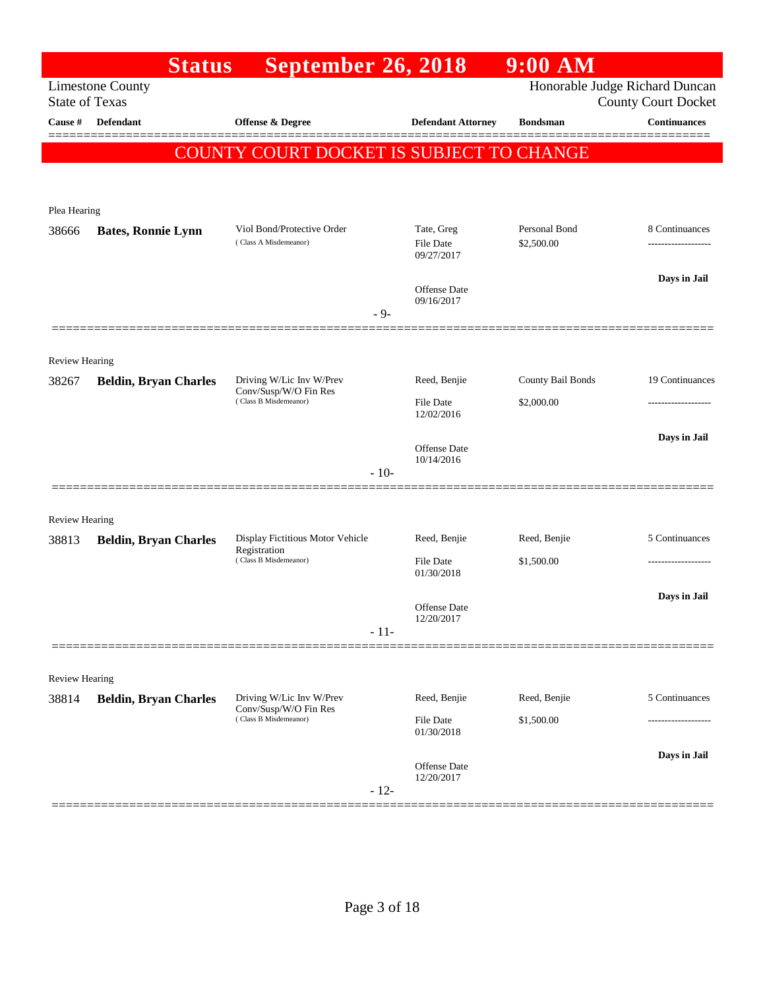|                       | <b>Status</b>                | <b>September 26, 2018</b>                                                  |        |                                | $9:00$ AM                      |                                |
|-----------------------|------------------------------|----------------------------------------------------------------------------|--------|--------------------------------|--------------------------------|--------------------------------|
| <b>State of Texas</b> | <b>Limestone County</b>      |                                                                            |        |                                | Honorable Judge Richard Duncan | <b>County Court Docket</b>     |
| Cause #               | Defendant                    | Offense & Degree                                                           |        | <b>Defendant Attorney</b>      | <b>Bondsman</b>                | <b>Continuances</b><br>======= |
|                       |                              | <b>COUNTY COURT DOCKET IS SUBJECT TO</b>                                   |        |                                | <b>CHANGE</b>                  |                                |
|                       |                              |                                                                            |        |                                |                                |                                |
| Plea Hearing          |                              |                                                                            |        |                                |                                |                                |
| 38666                 | <b>Bates, Ronnie Lynn</b>    | Viol Bond/Protective Order<br>(Class A Misdemeanor)                        |        | Tate, Greg                     | Personal Bond                  | 8 Continuances                 |
|                       |                              |                                                                            |        | <b>File Date</b><br>09/27/2017 | \$2,500.00                     | -----------------              |
|                       |                              |                                                                            |        | <b>Offense Date</b>            |                                | Days in Jail                   |
|                       |                              |                                                                            | $-9-$  | 09/16/2017                     |                                |                                |
|                       |                              |                                                                            |        |                                |                                |                                |
| Review Hearing        |                              |                                                                            |        |                                |                                |                                |
| 38267                 | <b>Beldin, Bryan Charles</b> | Driving W/Lic Inv W/Prev<br>Conv/Susp/W/O Fin Res<br>(Class B Misdemeanor) |        | Reed, Benjie                   | County Bail Bonds              | 19 Continuances                |
|                       |                              |                                                                            |        | <b>File Date</b><br>12/02/2016 | \$2,000.00                     | -------------------            |
|                       |                              |                                                                            |        | <b>Offense Date</b>            |                                | Days in Jail                   |
|                       |                              |                                                                            | $-10-$ | 10/14/2016                     |                                |                                |
|                       |                              |                                                                            |        |                                |                                |                                |
| <b>Review Hearing</b> |                              |                                                                            |        |                                |                                |                                |
| 38813                 | <b>Beldin, Bryan Charles</b> | Display Fictitious Motor Vehicle<br>Registration<br>(Class B Misdemeanor)  |        | Reed, Benjie                   | Reed, Benjie                   | 5 Continuances                 |
|                       |                              |                                                                            |        | <b>File Date</b><br>01/30/2018 | \$1,500.00                     |                                |
|                       |                              |                                                                            |        | Offense Date                   |                                | Days in Jail                   |
|                       |                              |                                                                            | $-11-$ | 12/20/2017                     |                                |                                |
|                       |                              |                                                                            |        |                                |                                |                                |
| <b>Review Hearing</b> |                              |                                                                            |        |                                |                                |                                |
| 38814                 | <b>Beldin, Bryan Charles</b> | Driving W/Lic Inv W/Prev<br>Conv/Susp/W/O Fin Res                          |        | Reed, Benjie                   | Reed, Benjie                   | 5 Continuances                 |
|                       |                              | (Class B Misdemeanor)                                                      |        | File Date<br>01/30/2018        | \$1,500.00                     |                                |
|                       |                              |                                                                            |        | Offense Date                   |                                | Days in Jail                   |
|                       |                              |                                                                            | $-12-$ | 12/20/2017                     |                                |                                |
|                       |                              |                                                                            |        |                                |                                |                                |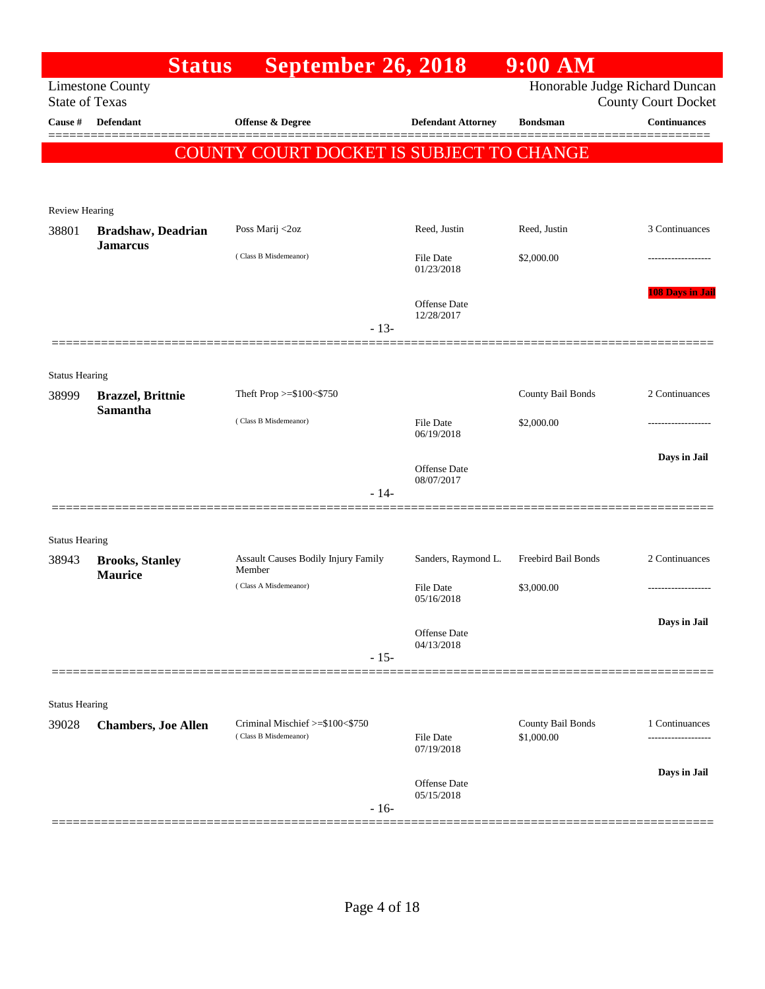|                                | <b>Status</b>                                 | <b>September 26, 2018</b>                     |                                   | $9:00$ AM           |                                                              |
|--------------------------------|-----------------------------------------------|-----------------------------------------------|-----------------------------------|---------------------|--------------------------------------------------------------|
| <b>State of Texas</b>          | <b>Limestone County</b>                       |                                               |                                   |                     | Honorable Judge Richard Duncan<br><b>County Court Docket</b> |
| Cause #                        | <b>Defendant</b>                              | <b>Offense &amp; Degree</b>                   | <b>Defendant Attorney</b>         | <b>Bondsman</b>     | <b>Continuances</b>                                          |
|                                |                                               | COUNTY COURT DOCKET IS SUBJECT TO CHANGE      |                                   |                     |                                                              |
|                                |                                               |                                               |                                   |                     |                                                              |
| <b>Review Hearing</b>          |                                               |                                               |                                   |                     |                                                              |
| 38801                          | <b>Bradshaw</b> , Deadrian<br><b>Jamarcus</b> | Poss Marij <2oz                               | Reed, Justin                      | Reed, Justin        | 3 Continuances                                               |
|                                |                                               | (Class B Misdemeanor)                         | <b>File Date</b><br>01/23/2018    | \$2,000.00          |                                                              |
|                                |                                               |                                               | <b>Offense Date</b><br>12/28/2017 |                     | <b>108 Days in Jail</b>                                      |
|                                |                                               | $-13-$                                        |                                   |                     |                                                              |
| <b>Status Hearing</b>          |                                               |                                               |                                   |                     |                                                              |
| 38999                          | <b>Brazzel</b> , Brittnie                     | Theft Prop >=\$100<\$750                      |                                   | County Bail Bonds   | 2 Continuances                                               |
|                                | Samantha                                      | (Class B Misdemeanor)                         | <b>File Date</b><br>06/19/2018    | \$2,000.00          | .                                                            |
|                                |                                               |                                               | <b>Offense Date</b><br>08/07/2017 |                     | Days in Jail                                                 |
|                                |                                               | $-14-$                                        |                                   |                     |                                                              |
| <b>Status Hearing</b>          |                                               |                                               |                                   |                     |                                                              |
| 38943                          | <b>Brooks, Stanley</b>                        | Assault Causes Bodily Injury Family<br>Member | Sanders, Raymond L.               | Freebird Bail Bonds | 2 Continuances                                               |
|                                | <b>Maurice</b>                                | (Class A Misdemeanor)                         | <b>File Date</b><br>05/16/2018    | \$3,000.00          |                                                              |
|                                |                                               |                                               | <b>Offense Date</b><br>04/13/2018 |                     | Days in Jail                                                 |
|                                |                                               | $-15-$                                        |                                   |                     |                                                              |
|                                |                                               |                                               |                                   |                     |                                                              |
| <b>Status Hearing</b><br>39028 | <b>Chambers, Joe Allen</b>                    | Criminal Mischief >=\$100<\$750               |                                   | County Bail Bonds   | 1 Continuances                                               |
|                                |                                               | (Class B Misdemeanor)                         | <b>File Date</b><br>07/19/2018    | \$1,000.00          | .                                                            |
|                                |                                               |                                               | <b>Offense Date</b><br>05/15/2018 |                     | Days in Jail                                                 |
|                                |                                               | $-16-$                                        |                                   |                     |                                                              |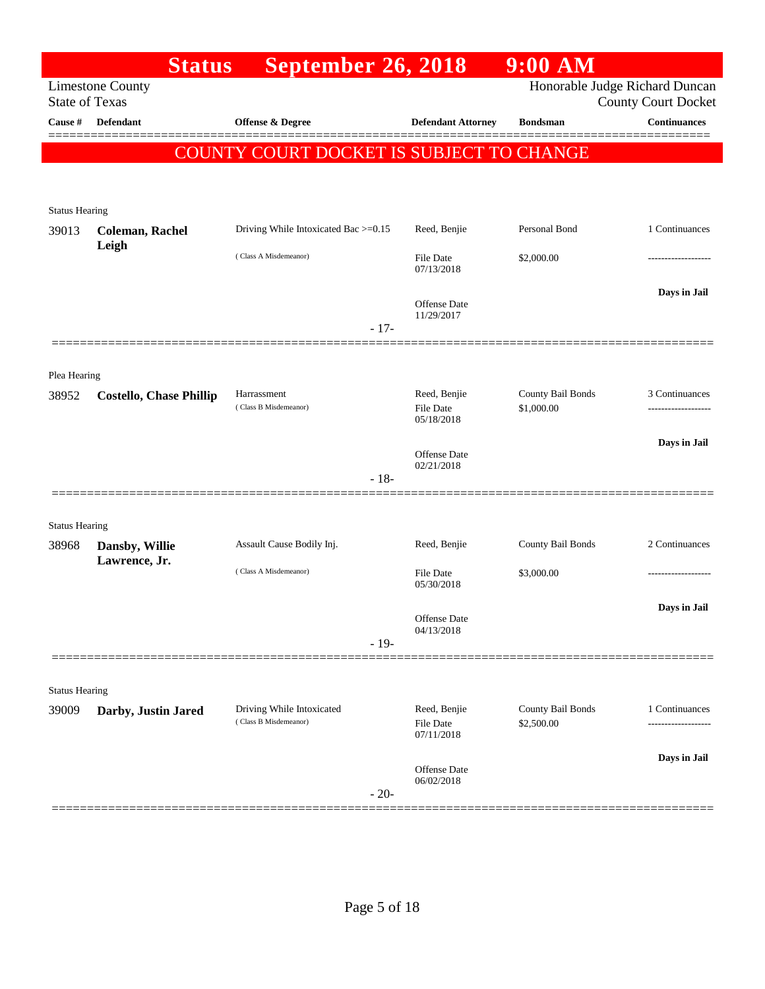|                                | <b>Status</b>                   | <b>September 26, 2018</b>                |                                   | $9:00$ AM                       |                                                              |
|--------------------------------|---------------------------------|------------------------------------------|-----------------------------------|---------------------------------|--------------------------------------------------------------|
| <b>State of Texas</b>          | <b>Limestone County</b>         |                                          |                                   |                                 | Honorable Judge Richard Duncan<br><b>County Court Docket</b> |
| Cause #                        | <b>Defendant</b>                | <b>Offense &amp; Degree</b>              | <b>Defendant Attorney</b>         | <b>Bondsman</b>                 | <b>Continuances</b>                                          |
|                                |                                 | COUNTY COURT DOCKET IS SUBJECT TO CHANGE |                                   |                                 |                                                              |
|                                |                                 |                                          |                                   |                                 |                                                              |
| <b>Status Hearing</b>          |                                 |                                          |                                   |                                 |                                                              |
| 39013                          | <b>Coleman, Rachel</b><br>Leigh | Driving While Intoxicated Bac >=0.15     | Reed, Benjie                      | Personal Bond                   | 1 Continuances                                               |
|                                |                                 | (Class A Misdemeanor)                    | File Date<br>07/13/2018           | \$2,000.00                      |                                                              |
|                                |                                 | $-17-$                                   | <b>Offense Date</b><br>11/29/2017 |                                 | Days in Jail                                                 |
|                                |                                 |                                          |                                   |                                 |                                                              |
| Plea Hearing                   |                                 |                                          |                                   |                                 |                                                              |
| 38952                          | <b>Costello, Chase Phillip</b>  | Harrassment<br>(Class B Misdemeanor)     | Reed, Benjie<br><b>File Date</b>  | County Bail Bonds<br>\$1,000.00 | 3 Continuances                                               |
|                                |                                 |                                          | 05/18/2018                        |                                 |                                                              |
|                                |                                 |                                          | <b>Offense</b> Date<br>02/21/2018 |                                 | Days in Jail                                                 |
|                                |                                 | $-18-$                                   |                                   |                                 |                                                              |
| <b>Status Hearing</b>          |                                 |                                          |                                   |                                 |                                                              |
| 38968                          | Dansby, Willie                  | Assault Cause Bodily Inj.                | Reed, Benjie                      | County Bail Bonds               | 2 Continuances                                               |
|                                | Lawrence, Jr.                   | (Class A Misdemeanor)                    | <b>File Date</b><br>05/30/2018    | \$3,000.00                      |                                                              |
|                                |                                 |                                          |                                   |                                 | Days in Jail                                                 |
|                                |                                 |                                          | Offense Date<br>04/13/2018        |                                 |                                                              |
|                                |                                 | $-19-$                                   |                                   |                                 |                                                              |
|                                |                                 |                                          |                                   |                                 |                                                              |
| <b>Status Hearing</b><br>39009 | Darby, Justin Jared             | Driving While Intoxicated                | Reed, Benjie                      | County Bail Bonds               | 1 Continuances                                               |
|                                |                                 | (Class B Misdemeanor)                    | <b>File Date</b><br>07/11/2018    | \$2,500.00                      |                                                              |
|                                |                                 |                                          | Offense Date<br>06/02/2018        |                                 | Days in Jail                                                 |
|                                |                                 | $-20-$                                   |                                   |                                 |                                                              |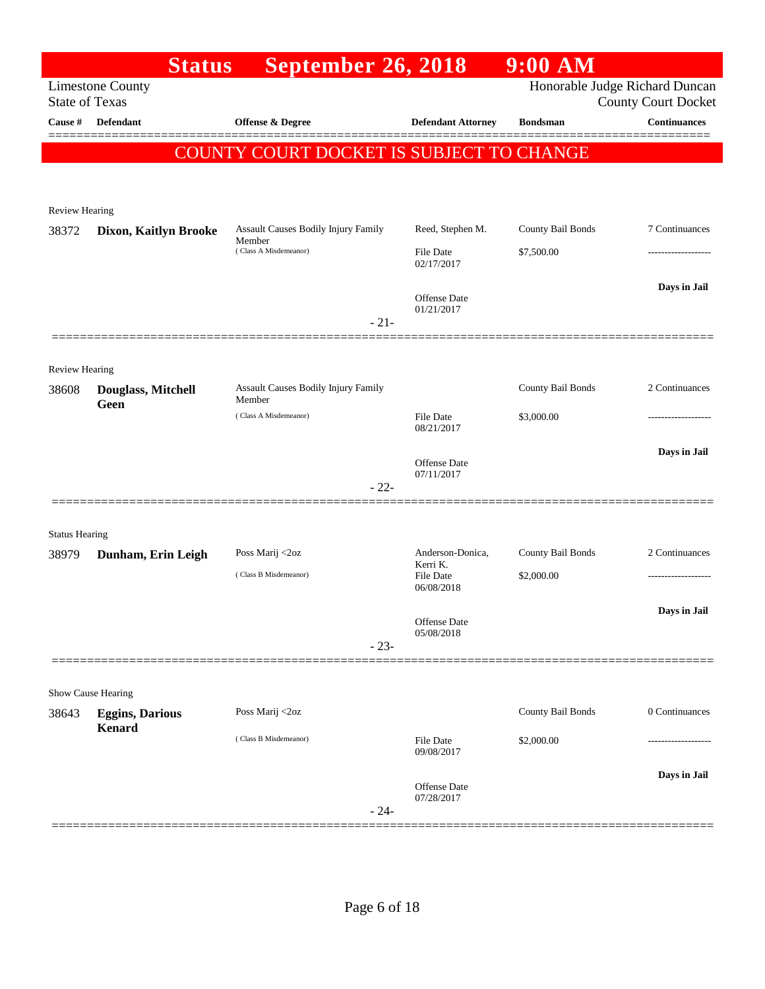|                         | <b>Status</b>           | September 26, 2018                                                     |                                      | 9:00 AM                         |                                                              |
|-------------------------|-------------------------|------------------------------------------------------------------------|--------------------------------------|---------------------------------|--------------------------------------------------------------|
| <b>State of Texas</b>   | <b>Limestone County</b> |                                                                        |                                      |                                 | Honorable Judge Richard Duncan<br><b>County Court Docket</b> |
| Cause #                 | <b>Defendant</b>        | <b>Offense &amp; Degree</b>                                            | <b>Defendant Attorney</b>            | <b>Bondsman</b>                 | <b>Continuances</b>                                          |
|                         |                         | COUNTY COURT DOCKET IS SUBJECT TO CHANGE                               |                                      |                                 |                                                              |
|                         |                         |                                                                        |                                      |                                 |                                                              |
|                         |                         |                                                                        |                                      |                                 |                                                              |
| Review Hearing          |                         |                                                                        |                                      |                                 |                                                              |
| 38372                   | Dixon, Kaitlyn Brooke   | Assault Causes Bodily Injury Family<br>Member<br>(Class A Misdemeanor) | Reed, Stephen M.<br><b>File Date</b> | County Bail Bonds<br>\$7,500.00 | 7 Continuances                                               |
|                         |                         |                                                                        | 02/17/2017                           |                                 |                                                              |
|                         |                         |                                                                        | Offense Date                         |                                 | Days in Jail                                                 |
|                         |                         |                                                                        | 01/21/2017                           |                                 |                                                              |
|                         |                         | $-21-$                                                                 |                                      |                                 |                                                              |
|                         |                         |                                                                        |                                      |                                 |                                                              |
| Review Hearing<br>38608 | Douglass, Mitchell      | Assault Causes Bodily Injury Family                                    |                                      | County Bail Bonds               | 2 Continuances                                               |
|                         | Geen                    | Member<br>(Class A Misdemeanor)                                        |                                      |                                 |                                                              |
|                         |                         |                                                                        | <b>File Date</b><br>08/21/2017       | \$3,000.00                      |                                                              |
|                         |                         |                                                                        |                                      |                                 | Days in Jail                                                 |
|                         |                         |                                                                        | Offense Date<br>07/11/2017           |                                 |                                                              |
|                         |                         | $-22-$                                                                 |                                      |                                 |                                                              |
| <b>Status Hearing</b>   |                         |                                                                        |                                      |                                 |                                                              |
| 38979                   | Dunham, Erin Leigh      | Poss Marij <2oz                                                        | Anderson-Donica,                     | County Bail Bonds               | 2 Continuances                                               |
|                         |                         | (Class B Misdemeanor)                                                  | Kerri K.<br><b>File Date</b>         | \$2,000.00                      |                                                              |
|                         |                         |                                                                        | 06/08/2018                           |                                 |                                                              |
|                         |                         |                                                                        | Offense Date                         |                                 | Days in Jail                                                 |
|                         |                         | $-23-$                                                                 | 05/08/2018                           |                                 |                                                              |
|                         |                         |                                                                        |                                      |                                 |                                                              |
|                         | Show Cause Hearing      |                                                                        |                                      |                                 |                                                              |
| 38643                   | <b>Eggins, Darious</b>  | Poss Marij <2oz                                                        |                                      | County Bail Bonds               | 0 Continuances                                               |
|                         | <b>Kenard</b>           | (Class B Misdemeanor)                                                  | <b>File Date</b>                     | \$2,000.00                      |                                                              |
|                         |                         |                                                                        | 09/08/2017                           |                                 |                                                              |
|                         |                         |                                                                        | Offense Date                         |                                 | Days in Jail                                                 |
|                         |                         | $-24-$                                                                 | 07/28/2017                           |                                 |                                                              |
|                         |                         |                                                                        |                                      |                                 |                                                              |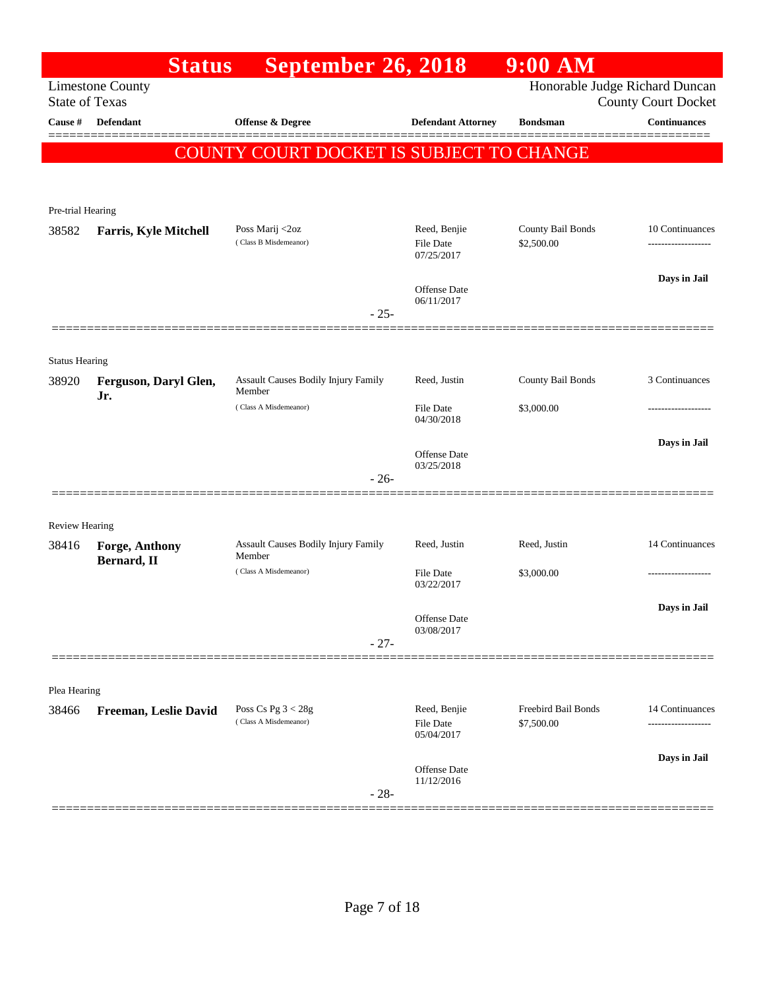|                       | <b>Status</b>                 | <b>September 26, 2018</b>                     |                                  | $9:00$ AM                         |                               |
|-----------------------|-------------------------------|-----------------------------------------------|----------------------------------|-----------------------------------|-------------------------------|
| <b>State of Texas</b> | <b>Limestone County</b>       |                                               |                                  | Honorable Judge Richard Duncan    | <b>County Court Docket</b>    |
| Cause #               | <b>Defendant</b>              | <b>Offense &amp; Degree</b>                   | <b>Defendant Attorney</b>        | <b>Bondsman</b>                   | <b>Continuances</b><br>====== |
|                       |                               | COUNTY COURT DOCKET IS SUBJECT TO CHANGE      |                                  |                                   |                               |
|                       |                               |                                               |                                  |                                   |                               |
| Pre-trial Hearing     |                               |                                               |                                  |                                   |                               |
| 38582                 | <b>Farris, Kyle Mitchell</b>  | Poss Marij <2oz<br>(Class B Misdemeanor)      | Reed, Benjie                     | County Bail Bonds<br>\$2,500.00   | 10 Continuances               |
|                       |                               |                                               | <b>File Date</b><br>07/25/2017   |                                   |                               |
|                       |                               |                                               | <b>Offense</b> Date              |                                   | Days in Jail                  |
|                       |                               | $-25-$                                        | 06/11/2017                       |                                   |                               |
|                       |                               |                                               |                                  |                                   |                               |
| <b>Status Hearing</b> |                               |                                               |                                  |                                   |                               |
| 38920                 | Ferguson, Daryl Glen,<br>Jr.  | Assault Causes Bodily Injury Family<br>Member | Reed, Justin                     | County Bail Bonds                 | 3 Continuances                |
|                       |                               | (Class A Misdemeanor)                         | <b>File Date</b><br>04/30/2018   | \$3,000.00                        | ---------------               |
|                       |                               |                                               | <b>Offense</b> Date              |                                   | Days in Jail                  |
|                       |                               | $-26-$                                        | 03/25/2018                       |                                   |                               |
|                       |                               |                                               |                                  |                                   |                               |
| <b>Review Hearing</b> |                               |                                               |                                  |                                   |                               |
| 38416                 | Forge, Anthony<br>Bernard, II | Assault Causes Bodily Injury Family<br>Member | Reed, Justin                     | Reed, Justin                      | 14 Continuances               |
|                       |                               | (Class A Misdemeanor)                         | <b>File Date</b><br>03/22/2017   | \$3,000.00                        | .                             |
|                       |                               |                                               |                                  |                                   | Days in Jail                  |
|                       |                               | $-27-$                                        | Offense Date<br>03/08/2017       |                                   |                               |
|                       |                               |                                               |                                  |                                   |                               |
| Plea Hearing          |                               |                                               |                                  |                                   |                               |
| 38466                 | Freeman, Leslie David         | Poss Cs Pg $3 < 28g$<br>(Class A Misdemeanor) | Reed, Benjie<br><b>File Date</b> | Freebird Bail Bonds<br>\$7,500.00 | 14 Continuances               |
|                       |                               |                                               | 05/04/2017                       |                                   |                               |
|                       |                               |                                               | Offense Date                     |                                   | Days in Jail                  |
|                       |                               | $-28-$                                        | 11/12/2016                       |                                   |                               |
|                       |                               |                                               |                                  |                                   |                               |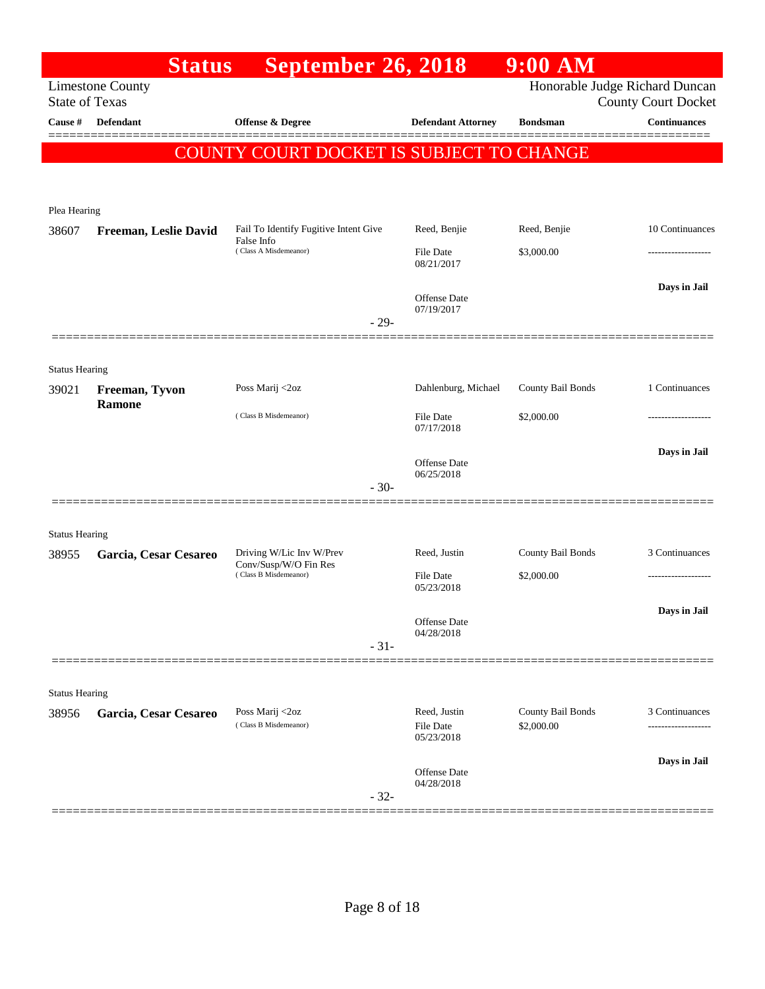|                       | <b>Status</b>           | <b>September 26, 2018</b>                           |                                   | $9:00$ AM                       |                                                              |
|-----------------------|-------------------------|-----------------------------------------------------|-----------------------------------|---------------------------------|--------------------------------------------------------------|
| <b>State of Texas</b> | <b>Limestone County</b> |                                                     |                                   |                                 | Honorable Judge Richard Duncan<br><b>County Court Docket</b> |
| Cause #               | <b>Defendant</b>        | <b>Offense &amp; Degree</b>                         | <b>Defendant Attorney</b>         | <b>Bondsman</b>                 | <b>Continuances</b>                                          |
|                       |                         | COUNTY COURT DOCKET IS SUBJECT TO CHANGE            |                                   |                                 |                                                              |
|                       |                         |                                                     |                                   |                                 |                                                              |
| Plea Hearing          |                         |                                                     |                                   |                                 |                                                              |
| 38607                 | Freeman, Leslie David   | Fail To Identify Fugitive Intent Give<br>False Info | Reed, Benjie                      | Reed, Benjie                    | 10 Continuances                                              |
|                       |                         | (Class A Misdemeanor)                               | <b>File Date</b><br>08/21/2017    | \$3,000.00                      |                                                              |
|                       |                         |                                                     | <b>Offense</b> Date<br>07/19/2017 |                                 | Days in Jail                                                 |
|                       |                         | $-29-$                                              |                                   |                                 |                                                              |
| <b>Status Hearing</b> |                         |                                                     |                                   |                                 |                                                              |
| 39021                 | Freeman, Tyvon          | Poss Marij <2oz                                     | Dahlenburg, Michael               | County Bail Bonds               | 1 Continuances                                               |
|                       | Ramone                  | (Class B Misdemeanor)                               | File Date<br>07/17/2018           | \$2,000.00                      |                                                              |
|                       |                         |                                                     | Offense Date                      |                                 | Days in Jail                                                 |
|                       |                         | $-30-$                                              | 06/25/2018                        |                                 |                                                              |
|                       |                         |                                                     |                                   |                                 |                                                              |
| <b>Status Hearing</b> |                         |                                                     |                                   |                                 |                                                              |
| 38955                 | Garcia, Cesar Cesareo   | Driving W/Lic Inv W/Prev<br>Conv/Susp/W/O Fin Res   | Reed, Justin                      | County Bail Bonds               | 3 Continuances                                               |
|                       |                         | (Class B Misdemeanor)                               | File Date<br>05/23/2018           | \$2,000.00                      | ------------------                                           |
|                       |                         |                                                     | Offense Date                      |                                 | Days in Jail                                                 |
|                       |                         | $-31-$                                              | 04/28/2018                        |                                 |                                                              |
|                       |                         |                                                     |                                   |                                 |                                                              |
| <b>Status Hearing</b> |                         |                                                     |                                   |                                 |                                                              |
| 38956                 | Garcia, Cesar Cesareo   | Poss Marij <2oz<br>(Class B Misdemeanor)            | Reed, Justin<br>File Date         | County Bail Bonds<br>\$2,000.00 | 3 Continuances                                               |
|                       |                         |                                                     | 05/23/2018                        |                                 |                                                              |
|                       |                         | $-32-$                                              | Offense Date<br>04/28/2018        |                                 | Days in Jail                                                 |
|                       |                         |                                                     |                                   |                                 |                                                              |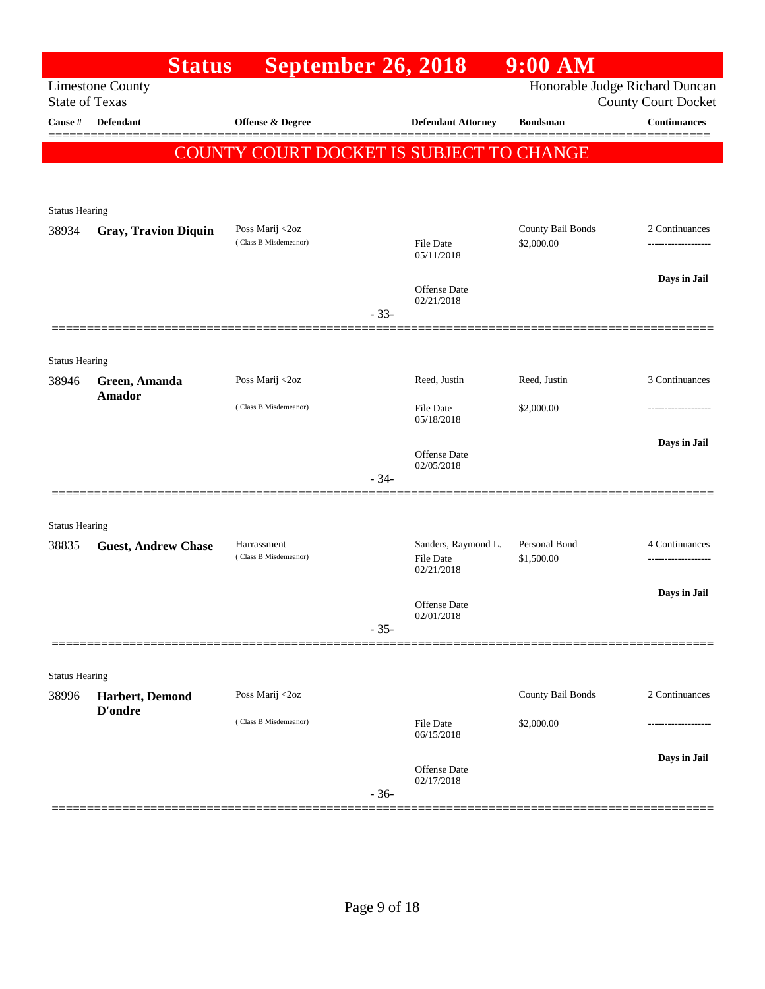|                       | <b>Status</b>               | <b>September 26, 2018</b>                |        |                                         | 9:00 AM                     |                                                              |
|-----------------------|-----------------------------|------------------------------------------|--------|-----------------------------------------|-----------------------------|--------------------------------------------------------------|
| <b>State of Texas</b> | <b>Limestone County</b>     |                                          |        |                                         |                             | Honorable Judge Richard Duncan<br><b>County Court Docket</b> |
| Cause #               | Defendant                   | Offense & Degree                         |        | <b>Defendant Attorney</b>               | <b>Bondsman</b>             | <b>Continuances</b>                                          |
|                       |                             | COUNTY COURT DOCKET IS SUBJECT TO CHANGE |        |                                         |                             | =======                                                      |
|                       |                             |                                          |        |                                         |                             |                                                              |
| <b>Status Hearing</b> |                             |                                          |        |                                         |                             |                                                              |
| 38934                 | <b>Gray, Travion Diquin</b> | Poss Marij <2oz                          |        |                                         | County Bail Bonds           | 2 Continuances                                               |
|                       |                             | (Class B Misdemeanor)                    |        | <b>File Date</b><br>05/11/2018          | \$2,000.00                  |                                                              |
|                       |                             |                                          |        | Offense Date                            |                             | Days in Jail                                                 |
|                       |                             |                                          | $-33-$ | 02/21/2018                              |                             |                                                              |
|                       |                             |                                          |        |                                         |                             |                                                              |
| <b>Status Hearing</b> |                             |                                          |        |                                         |                             |                                                              |
| 38946                 | Green, Amanda<br>Amador     | Poss Marij <2oz                          |        | Reed, Justin                            | Reed, Justin                | 3 Continuances                                               |
|                       |                             | (Class B Misdemeanor)                    |        | <b>File Date</b><br>05/18/2018          | \$2,000.00                  |                                                              |
|                       |                             |                                          |        | <b>Offense</b> Date                     |                             | Days in Jail                                                 |
|                       |                             |                                          | $-34-$ | 02/05/2018                              |                             |                                                              |
|                       |                             |                                          |        |                                         |                             |                                                              |
| <b>Status Hearing</b> |                             |                                          |        |                                         |                             |                                                              |
| 38835                 | <b>Guest, Andrew Chase</b>  | Harrassment<br>(Class B Misdemeanor)     |        | Sanders, Raymond L.<br><b>File Date</b> | Personal Bond<br>\$1,500.00 | 4 Continuances                                               |
|                       |                             |                                          |        | 02/21/2018                              |                             |                                                              |
|                       |                             |                                          |        | <b>Offense</b> Date                     |                             | Days in Jail                                                 |
|                       |                             |                                          | $-35-$ | 02/01/2018                              |                             |                                                              |
|                       |                             |                                          |        |                                         |                             |                                                              |
| <b>Status Hearing</b> |                             |                                          |        |                                         |                             | 2 Continuances                                               |
| 38996                 | Harbert, Demond<br>D'ondre  | Poss Marij <2oz                          |        |                                         | County Bail Bonds           |                                                              |
|                       |                             | (Class B Misdemeanor)                    |        | <b>File Date</b><br>06/15/2018          | \$2,000.00                  |                                                              |
|                       |                             |                                          |        |                                         |                             | Days in Jail                                                 |
|                       |                             |                                          | $-36-$ | Offense Date<br>02/17/2018              |                             |                                                              |
|                       |                             |                                          |        |                                         |                             |                                                              |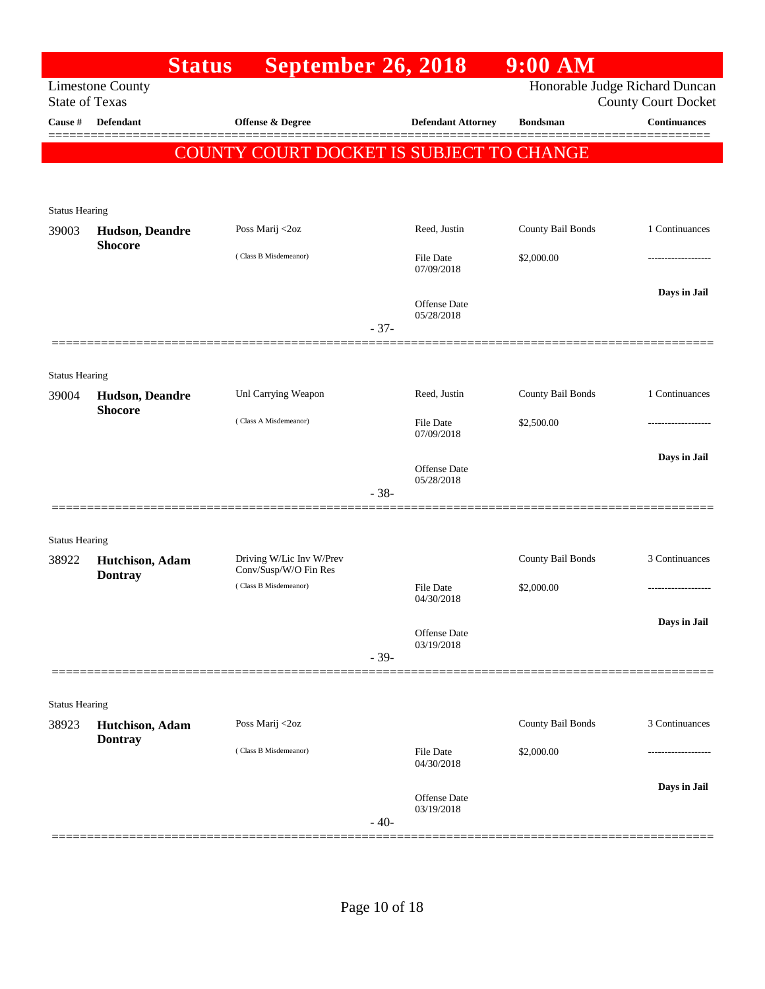|                                  | <b>Status</b>           | September 26, 2018                       |        |                                | $9:00$ AM         |                                                   |
|----------------------------------|-------------------------|------------------------------------------|--------|--------------------------------|-------------------|---------------------------------------------------|
|                                  | <b>Limestone County</b> |                                          |        |                                |                   | Honorable Judge Richard Duncan                    |
| <b>State of Texas</b><br>Cause # | <b>Defendant</b>        | <b>Offense &amp; Degree</b>              |        |                                | <b>Bondsman</b>   | <b>County Court Docket</b><br><b>Continuances</b> |
|                                  |                         |                                          |        | <b>Defendant Attorney</b>      |                   |                                                   |
|                                  |                         | COUNTY COURT DOCKET IS SUBJECT TO CHANGE |        |                                |                   |                                                   |
|                                  |                         |                                          |        |                                |                   |                                                   |
|                                  |                         |                                          |        |                                |                   |                                                   |
| <b>Status Hearing</b><br>39003   | Hudson, Deandre         | Poss Marij <2oz                          |        | Reed, Justin                   | County Bail Bonds | 1 Continuances                                    |
|                                  | <b>Shocore</b>          |                                          |        |                                |                   |                                                   |
|                                  |                         | (Class B Misdemeanor)                    |        | File Date<br>07/09/2018        | \$2,000.00        |                                                   |
|                                  |                         |                                          |        |                                |                   | Days in Jail                                      |
|                                  |                         |                                          |        | Offense Date<br>05/28/2018     |                   |                                                   |
|                                  |                         |                                          | $-37-$ |                                |                   |                                                   |
|                                  |                         |                                          |        |                                |                   |                                                   |
| <b>Status Hearing</b>            |                         |                                          |        |                                |                   |                                                   |
| 39004                            | Hudson, Deandre         | Unl Carrying Weapon                      |        | Reed, Justin                   | County Bail Bonds | 1 Continuances                                    |
|                                  | <b>Shocore</b>          | (Class A Misdemeanor)                    |        | File Date                      | \$2,500.00        |                                                   |
|                                  |                         |                                          |        | 07/09/2018                     |                   |                                                   |
|                                  |                         |                                          |        | <b>Offense Date</b>            |                   | Days in Jail                                      |
|                                  |                         |                                          | $-38-$ | 05/28/2018                     |                   |                                                   |
|                                  |                         |                                          |        |                                |                   |                                                   |
|                                  |                         |                                          |        |                                |                   |                                                   |
| <b>Status Hearing</b><br>38922   | Hutchison, Adam         | Driving W/Lic Inv W/Prev                 |        |                                | County Bail Bonds | 3 Continuances                                    |
|                                  | <b>Dontray</b>          | Conv/Susp/W/O Fin Res                    |        |                                |                   |                                                   |
|                                  |                         | (Class B Misdemeanor)                    |        | <b>File Date</b><br>04/30/2018 | \$2,000.00        |                                                   |
|                                  |                         |                                          |        |                                |                   | Days in Jail                                      |
|                                  |                         |                                          |        | Offense Date<br>03/19/2018     |                   |                                                   |
|                                  |                         |                                          | $-39-$ |                                |                   |                                                   |
|                                  |                         |                                          |        |                                |                   |                                                   |
| <b>Status Hearing</b>            |                         |                                          |        |                                |                   |                                                   |
| 38923                            | Hutchison, Adam         | Poss Marij <2oz                          |        |                                | County Bail Bonds | 3 Continuances                                    |
|                                  | <b>Dontray</b>          | (Class B Misdemeanor)                    |        | File Date                      | \$2,000.00        |                                                   |
|                                  |                         |                                          |        | 04/30/2018                     |                   |                                                   |
|                                  |                         |                                          |        | <b>Offense Date</b>            |                   | Days in Jail                                      |
|                                  |                         |                                          | $-40-$ | 03/19/2018                     |                   |                                                   |
|                                  |                         |                                          |        |                                |                   |                                                   |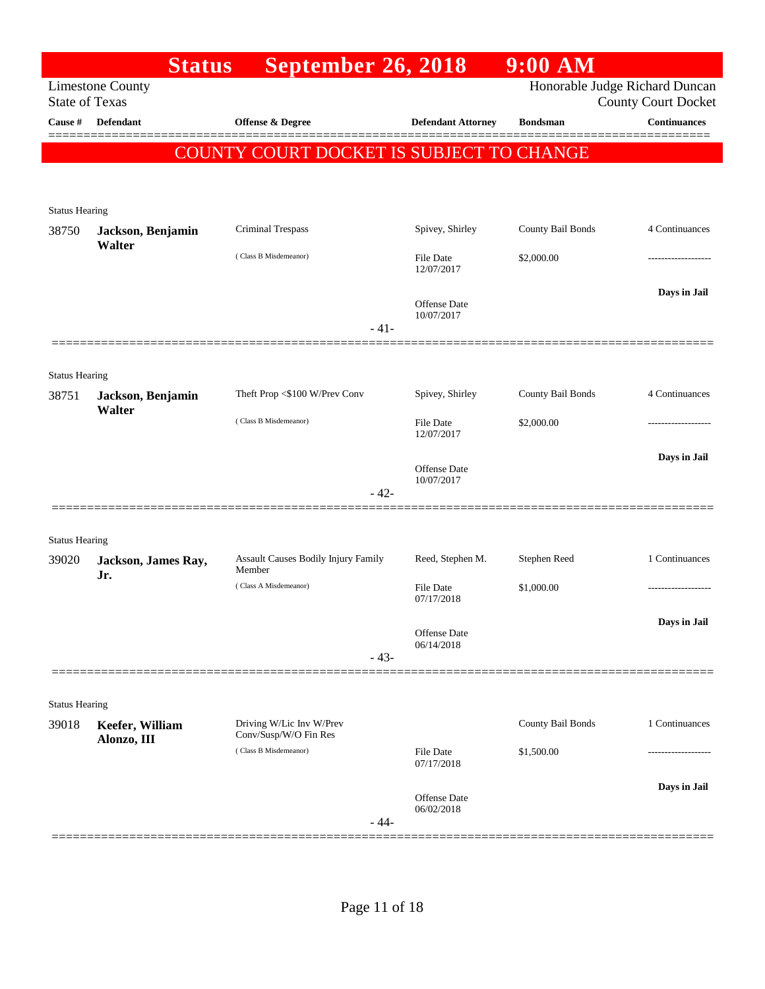|                                | <b>Status</b>                             | <b>September 26, 2018</b>                      |                                   | $9:00$ AM         |                                                   |
|--------------------------------|-------------------------------------------|------------------------------------------------|-----------------------------------|-------------------|---------------------------------------------------|
|                                | <b>Limestone County</b>                   |                                                |                                   |                   | Honorable Judge Richard Duncan                    |
| Cause #                        | <b>State of Texas</b><br><b>Defendant</b> | Offense & Degree                               | <b>Defendant Attorney</b>         | <b>Bondsman</b>   | <b>County Court Docket</b><br><b>Continuances</b> |
|                                |                                           |                                                |                                   |                   |                                                   |
|                                |                                           | COUNTY COURT DOCKET IS SUBJECT TO CHANGE       |                                   |                   |                                                   |
|                                |                                           |                                                |                                   |                   |                                                   |
| <b>Status Hearing</b>          |                                           |                                                |                                   |                   |                                                   |
| 38750                          | Jackson, Benjamin<br>Walter               | Criminal Trespass                              | Spivey, Shirley                   | County Bail Bonds | 4 Continuances                                    |
|                                |                                           | (Class B Misdemeanor)                          | File Date<br>12/07/2017           | \$2,000.00        |                                                   |
|                                |                                           |                                                |                                   |                   | Days in Jail                                      |
|                                |                                           |                                                | <b>Offense Date</b><br>10/07/2017 |                   |                                                   |
|                                |                                           | $-41-$                                         |                                   |                   |                                                   |
|                                |                                           |                                                |                                   |                   |                                                   |
| <b>Status Hearing</b>          |                                           |                                                |                                   |                   |                                                   |
| 38751                          | Jackson, Benjamin<br>Walter               | Theft Prop <\$100 W/Prev Conv                  | Spivey, Shirley                   | County Bail Bonds | 4 Continuances                                    |
|                                |                                           | (Class B Misdemeanor)                          | File Date<br>12/07/2017           | \$2,000.00        |                                                   |
|                                |                                           |                                                |                                   |                   | Days in Jail                                      |
|                                |                                           |                                                | <b>Offense Date</b><br>10/07/2017 |                   |                                                   |
|                                |                                           | - 42-                                          |                                   |                   |                                                   |
|                                |                                           |                                                |                                   |                   |                                                   |
| <b>Status Hearing</b><br>39020 | Jackson, James Ray,                       | Assault Causes Bodily Injury Family            | Reed, Stephen M.                  | Stephen Reed      | 1 Continuances                                    |
|                                | Jr.                                       | Member                                         |                                   |                   |                                                   |
|                                |                                           | (Class A Misdemeanor)                          | File Date<br>07/17/2018           | \$1,000.00        | .                                                 |
|                                |                                           |                                                | Offense Date                      |                   | Days in Jail                                      |
|                                |                                           |                                                | 06/14/2018                        |                   |                                                   |
|                                |                                           | $-43-$                                         |                                   |                   |                                                   |
| <b>Status Hearing</b>          |                                           |                                                |                                   |                   |                                                   |
| 39018                          | Keefer, William                           | Driving W/Lic Inv W/Prev                       |                                   | County Bail Bonds | 1 Continuances                                    |
|                                | Alonzo, III                               | Conv/Susp/W/O Fin Res<br>(Class B Misdemeanor) | <b>File Date</b>                  | \$1,500.00        | --------------                                    |
|                                |                                           |                                                | 07/17/2018                        |                   |                                                   |
|                                |                                           |                                                | <b>Offense Date</b>               |                   | Days in Jail                                      |
|                                |                                           | $-44-$                                         | 06/02/2018                        |                   |                                                   |
|                                |                                           |                                                |                                   |                   |                                                   |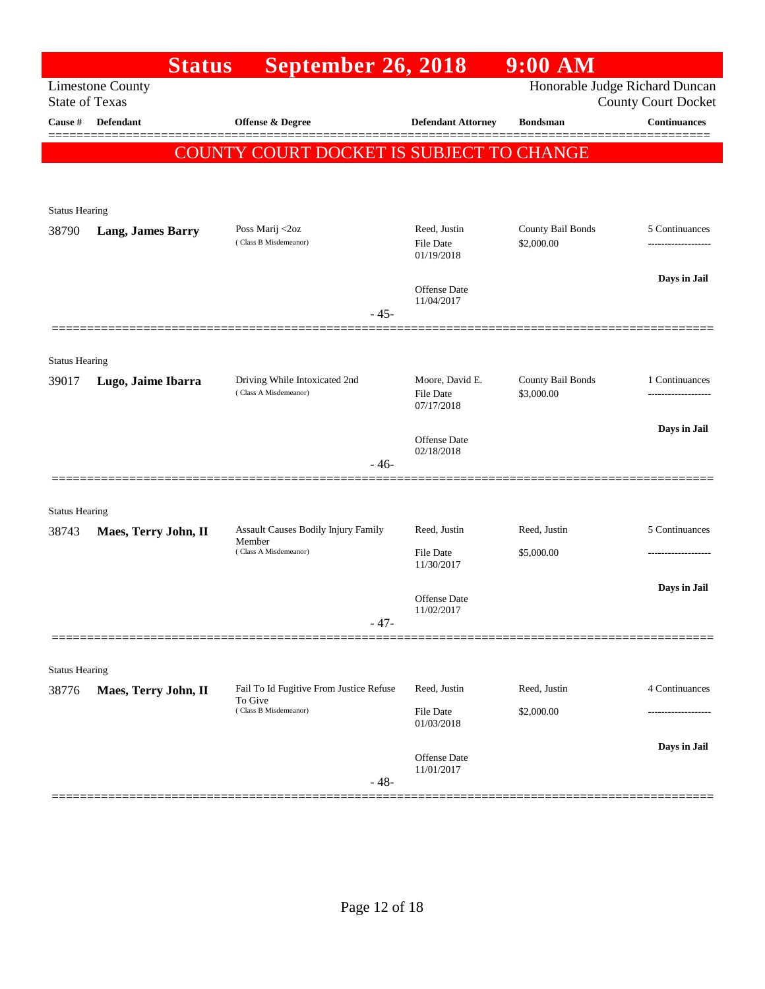| Honorable Judge Richard Duncan<br><b>Limestone County</b><br><b>State of Texas</b><br><b>County Court Docket</b><br><b>Continuances</b><br>Cause #<br><b>Defendant</b><br><b>Offense &amp; Degree</b><br><b>Defendant Attorney</b><br><b>Bondsman</b><br>COUNTY COURT DOCKET IS SUBJECT TO CHANGE<br><b>Status Hearing</b><br>Reed, Justin<br>County Bail Bonds<br>Poss Marij <2oz<br>5 Continuances<br>38790<br><b>Lang, James Barry</b><br>(Class B Misdemeanor)<br>\$2,000.00<br><b>File Date</b><br>-------------------<br>01/19/2018<br>Days in Jail<br><b>Offense Date</b><br>11/04/2017<br>$-45-$<br><b>Status Hearing</b><br>County Bail Bonds<br>Driving While Intoxicated 2nd<br>Moore, David E.<br>1 Continuances<br>39017<br>Lugo, Jaime Ibarra<br>(Class A Misdemeanor)<br>\$3,000.00<br><b>File Date</b><br>07/17/2018<br>Days in Jail<br>Offense Date<br>02/18/2018<br>$-46-$<br><b>Status Hearing</b><br>5 Continuances<br>Assault Causes Bodily Injury Family<br>Reed, Justin<br>Reed, Justin<br>38743<br>Maes, Terry John, II<br>Member<br>(Class A Misdemeanor)<br>\$5,000.00<br><b>File Date</b><br>-------------------<br>11/30/2017 |  |
|-----------------------------------------------------------------------------------------------------------------------------------------------------------------------------------------------------------------------------------------------------------------------------------------------------------------------------------------------------------------------------------------------------------------------------------------------------------------------------------------------------------------------------------------------------------------------------------------------------------------------------------------------------------------------------------------------------------------------------------------------------------------------------------------------------------------------------------------------------------------------------------------------------------------------------------------------------------------------------------------------------------------------------------------------------------------------------------------------------------------------------------------------------------|--|
|                                                                                                                                                                                                                                                                                                                                                                                                                                                                                                                                                                                                                                                                                                                                                                                                                                                                                                                                                                                                                                                                                                                                                           |  |
|                                                                                                                                                                                                                                                                                                                                                                                                                                                                                                                                                                                                                                                                                                                                                                                                                                                                                                                                                                                                                                                                                                                                                           |  |
|                                                                                                                                                                                                                                                                                                                                                                                                                                                                                                                                                                                                                                                                                                                                                                                                                                                                                                                                                                                                                                                                                                                                                           |  |
|                                                                                                                                                                                                                                                                                                                                                                                                                                                                                                                                                                                                                                                                                                                                                                                                                                                                                                                                                                                                                                                                                                                                                           |  |
|                                                                                                                                                                                                                                                                                                                                                                                                                                                                                                                                                                                                                                                                                                                                                                                                                                                                                                                                                                                                                                                                                                                                                           |  |
|                                                                                                                                                                                                                                                                                                                                                                                                                                                                                                                                                                                                                                                                                                                                                                                                                                                                                                                                                                                                                                                                                                                                                           |  |
|                                                                                                                                                                                                                                                                                                                                                                                                                                                                                                                                                                                                                                                                                                                                                                                                                                                                                                                                                                                                                                                                                                                                                           |  |
|                                                                                                                                                                                                                                                                                                                                                                                                                                                                                                                                                                                                                                                                                                                                                                                                                                                                                                                                                                                                                                                                                                                                                           |  |
|                                                                                                                                                                                                                                                                                                                                                                                                                                                                                                                                                                                                                                                                                                                                                                                                                                                                                                                                                                                                                                                                                                                                                           |  |
|                                                                                                                                                                                                                                                                                                                                                                                                                                                                                                                                                                                                                                                                                                                                                                                                                                                                                                                                                                                                                                                                                                                                                           |  |
|                                                                                                                                                                                                                                                                                                                                                                                                                                                                                                                                                                                                                                                                                                                                                                                                                                                                                                                                                                                                                                                                                                                                                           |  |
|                                                                                                                                                                                                                                                                                                                                                                                                                                                                                                                                                                                                                                                                                                                                                                                                                                                                                                                                                                                                                                                                                                                                                           |  |
|                                                                                                                                                                                                                                                                                                                                                                                                                                                                                                                                                                                                                                                                                                                                                                                                                                                                                                                                                                                                                                                                                                                                                           |  |
|                                                                                                                                                                                                                                                                                                                                                                                                                                                                                                                                                                                                                                                                                                                                                                                                                                                                                                                                                                                                                                                                                                                                                           |  |
|                                                                                                                                                                                                                                                                                                                                                                                                                                                                                                                                                                                                                                                                                                                                                                                                                                                                                                                                                                                                                                                                                                                                                           |  |
|                                                                                                                                                                                                                                                                                                                                                                                                                                                                                                                                                                                                                                                                                                                                                                                                                                                                                                                                                                                                                                                                                                                                                           |  |
|                                                                                                                                                                                                                                                                                                                                                                                                                                                                                                                                                                                                                                                                                                                                                                                                                                                                                                                                                                                                                                                                                                                                                           |  |
|                                                                                                                                                                                                                                                                                                                                                                                                                                                                                                                                                                                                                                                                                                                                                                                                                                                                                                                                                                                                                                                                                                                                                           |  |
|                                                                                                                                                                                                                                                                                                                                                                                                                                                                                                                                                                                                                                                                                                                                                                                                                                                                                                                                                                                                                                                                                                                                                           |  |
| Days in Jail                                                                                                                                                                                                                                                                                                                                                                                                                                                                                                                                                                                                                                                                                                                                                                                                                                                                                                                                                                                                                                                                                                                                              |  |
| Offense Date<br>11/02/2017                                                                                                                                                                                                                                                                                                                                                                                                                                                                                                                                                                                                                                                                                                                                                                                                                                                                                                                                                                                                                                                                                                                                |  |
| $-47-$                                                                                                                                                                                                                                                                                                                                                                                                                                                                                                                                                                                                                                                                                                                                                                                                                                                                                                                                                                                                                                                                                                                                                    |  |
|                                                                                                                                                                                                                                                                                                                                                                                                                                                                                                                                                                                                                                                                                                                                                                                                                                                                                                                                                                                                                                                                                                                                                           |  |
| <b>Status Hearing</b><br>4 Continuances<br>Fail To Id Fugitive From Justice Refuse<br>Reed, Justin<br>Reed, Justin<br>38776<br>Maes, Terry John, II                                                                                                                                                                                                                                                                                                                                                                                                                                                                                                                                                                                                                                                                                                                                                                                                                                                                                                                                                                                                       |  |
| To Give<br>(Class B Misdemeanor)<br>File Date<br>\$2,000.00                                                                                                                                                                                                                                                                                                                                                                                                                                                                                                                                                                                                                                                                                                                                                                                                                                                                                                                                                                                                                                                                                               |  |
| 01/03/2018                                                                                                                                                                                                                                                                                                                                                                                                                                                                                                                                                                                                                                                                                                                                                                                                                                                                                                                                                                                                                                                                                                                                                |  |
| Days in Jail<br>Offense Date<br>11/01/2017                                                                                                                                                                                                                                                                                                                                                                                                                                                                                                                                                                                                                                                                                                                                                                                                                                                                                                                                                                                                                                                                                                                |  |
| $-48-$                                                                                                                                                                                                                                                                                                                                                                                                                                                                                                                                                                                                                                                                                                                                                                                                                                                                                                                                                                                                                                                                                                                                                    |  |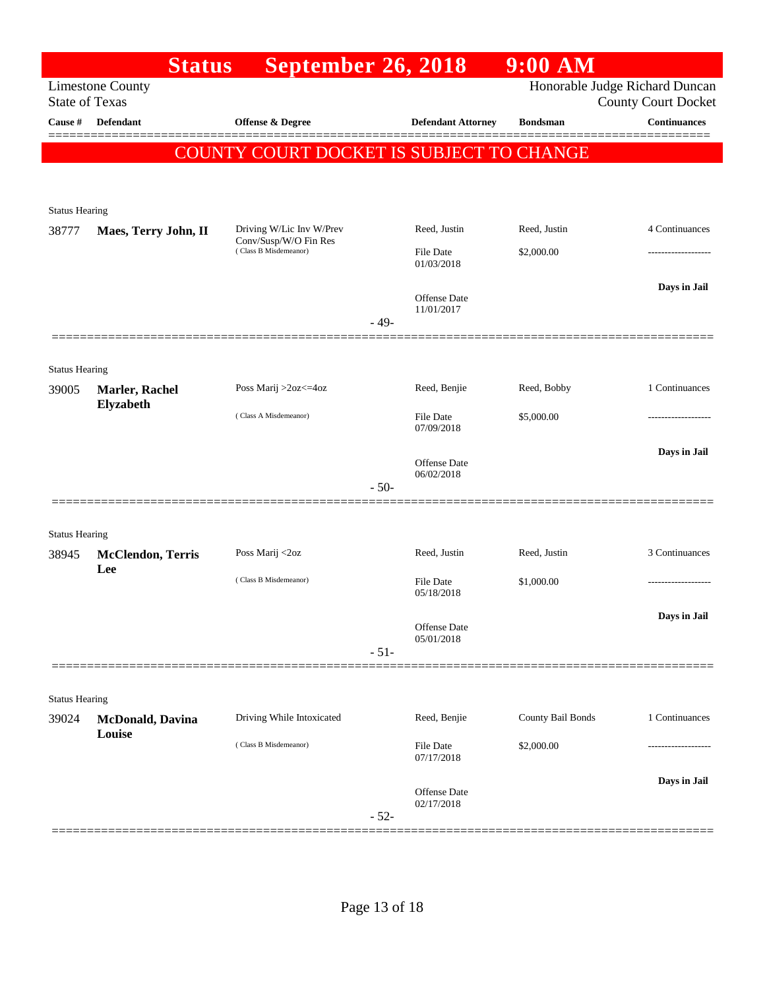|                       | <b>Status</b>                      | <b>September 26, 2018</b>                         |        |                                   | 9:00 AM           |                                                   |
|-----------------------|------------------------------------|---------------------------------------------------|--------|-----------------------------------|-------------------|---------------------------------------------------|
| <b>State of Texas</b> | <b>Limestone County</b>            |                                                   |        |                                   |                   | Honorable Judge Richard Duncan                    |
| Cause #               | <b>Defendant</b>                   | <b>Offense &amp; Degree</b>                       |        | <b>Defendant Attorney</b>         | <b>Bondsman</b>   | <b>County Court Docket</b><br><b>Continuances</b> |
|                       |                                    | <b>COUNTY COURT DOCKET IS SUBJECT TO CHANGE</b>   |        |                                   |                   |                                                   |
|                       |                                    |                                                   |        |                                   |                   |                                                   |
|                       |                                    |                                                   |        |                                   |                   |                                                   |
| <b>Status Hearing</b> |                                    |                                                   |        |                                   |                   |                                                   |
| 38777                 | Maes, Terry John, II               | Driving W/Lic Inv W/Prev<br>Conv/Susp/W/O Fin Res |        | Reed, Justin                      | Reed, Justin      | 4 Continuances                                    |
|                       |                                    | (Class B Misdemeanor)                             |        | <b>File Date</b><br>01/03/2018    | \$2,000.00        |                                                   |
|                       |                                    |                                                   |        | <b>Offense Date</b>               |                   | Days in Jail                                      |
|                       |                                    |                                                   | $-49-$ | 11/01/2017                        |                   |                                                   |
|                       |                                    |                                                   |        |                                   |                   |                                                   |
| <b>Status Hearing</b> |                                    |                                                   |        |                                   |                   |                                                   |
| 39005                 | Marler, Rachel                     | Poss Marij >2oz<=4oz                              |        | Reed, Benjie                      | Reed, Bobby       | 1 Continuances                                    |
|                       | Elyzabeth                          | (Class A Misdemeanor)                             |        |                                   |                   |                                                   |
|                       |                                    |                                                   |        | <b>File Date</b><br>07/09/2018    | \$5,000.00        |                                                   |
|                       |                                    |                                                   |        |                                   |                   | Days in Jail                                      |
|                       |                                    |                                                   |        | <b>Offense Date</b><br>06/02/2018 |                   |                                                   |
|                       |                                    |                                                   | $-50-$ |                                   |                   |                                                   |
|                       |                                    |                                                   |        |                                   |                   |                                                   |
| <b>Status Hearing</b> |                                    |                                                   |        |                                   |                   |                                                   |
| 38945                 | <b>McClendon</b> , Terris<br>Lee   | Poss Marij <2oz                                   |        | Reed, Justin                      | Reed, Justin      | 3 Continuances                                    |
|                       |                                    | (Class B Misdemeanor)                             |        | <b>File Date</b><br>05/18/2018    | \$1,000.00        |                                                   |
|                       |                                    |                                                   |        |                                   |                   | Days in Jail                                      |
|                       |                                    |                                                   |        | Offense Date<br>05/01/2018        |                   |                                                   |
|                       |                                    |                                                   | $-51-$ |                                   |                   |                                                   |
|                       |                                    |                                                   |        |                                   |                   |                                                   |
| <b>Status Hearing</b> |                                    |                                                   |        |                                   |                   |                                                   |
| 39024                 | <b>McDonald</b> , Davina<br>Louise | Driving While Intoxicated                         |        | Reed, Benjie                      | County Bail Bonds | 1 Continuances                                    |
|                       |                                    | (Class B Misdemeanor)                             |        | <b>File Date</b>                  | \$2,000.00        |                                                   |
|                       |                                    |                                                   |        | 07/17/2018                        |                   |                                                   |
|                       |                                    |                                                   |        | Offense Date                      |                   | Days in Jail                                      |
|                       |                                    |                                                   | $-52-$ | 02/17/2018                        |                   |                                                   |
|                       |                                    |                                                   |        |                                   |                   |                                                   |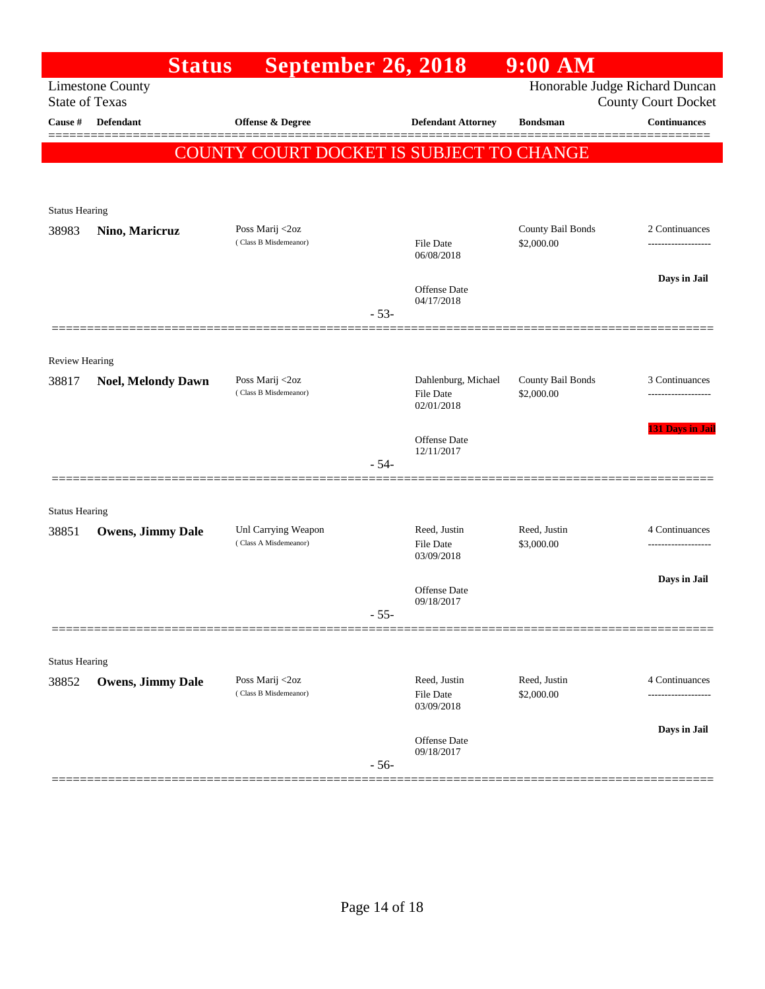|                                | <b>Status</b>             | <b>September 26, 2018</b>                |        |                                   | $9:00$ AM         |                                                              |
|--------------------------------|---------------------------|------------------------------------------|--------|-----------------------------------|-------------------|--------------------------------------------------------------|
| <b>State of Texas</b>          | <b>Limestone County</b>   |                                          |        |                                   |                   | Honorable Judge Richard Duncan<br><b>County Court Docket</b> |
| Cause #                        | <b>Defendant</b>          | <b>Offense &amp; Degree</b>              |        | <b>Defendant Attorney</b>         | <b>Bondsman</b>   | <b>Continuances</b>                                          |
|                                |                           | COUNTY COURT DOCKET IS SUBJECT TO CHANGE |        |                                   |                   |                                                              |
|                                |                           |                                          |        |                                   |                   |                                                              |
|                                |                           |                                          |        |                                   |                   |                                                              |
| <b>Status Hearing</b><br>38983 | Nino, Maricruz            | Poss Marij <2oz                          |        |                                   | County Bail Bonds | 2 Continuances                                               |
|                                |                           | (Class B Misdemeanor)                    |        | <b>File Date</b><br>06/08/2018    | \$2,000.00        | ------------------                                           |
|                                |                           |                                          |        |                                   |                   | Days in Jail                                                 |
|                                |                           |                                          |        | <b>Offense</b> Date<br>04/17/2018 |                   |                                                              |
|                                |                           |                                          | $-53-$ |                                   |                   |                                                              |
|                                |                           |                                          |        |                                   |                   |                                                              |
| Review Hearing<br>38817        | <b>Noel, Melondy Dawn</b> | Poss Marij <2oz                          |        | Dahlenburg, Michael               | County Bail Bonds | 3 Continuances                                               |
|                                |                           | (Class B Misdemeanor)                    |        | File Date<br>02/01/2018           | \$2,000.00        | ------------------                                           |
|                                |                           |                                          |        |                                   |                   | <b>131 Days in Jail</b>                                      |
|                                |                           |                                          |        | Offense Date<br>12/11/2017        |                   |                                                              |
|                                |                           |                                          | $-54-$ |                                   |                   |                                                              |
|                                |                           |                                          |        |                                   |                   |                                                              |
| <b>Status Hearing</b><br>38851 | <b>Owens, Jimmy Dale</b>  | Unl Carrying Weapon                      |        | Reed, Justin                      | Reed, Justin      | 4 Continuances                                               |
|                                |                           | (Class A Misdemeanor)                    |        | <b>File Date</b><br>03/09/2018    | \$3,000.00        |                                                              |
|                                |                           |                                          |        |                                   |                   | Days in Jail                                                 |
|                                |                           |                                          |        | Offense Date<br>09/18/2017        |                   |                                                              |
|                                |                           |                                          | $-55-$ |                                   |                   |                                                              |
|                                |                           |                                          |        |                                   |                   |                                                              |
| <b>Status Hearing</b>          |                           | Poss Marij <2oz                          |        | Reed, Justin                      | Reed, Justin      | 4 Continuances                                               |
| 38852                          | <b>Owens, Jimmy Dale</b>  | (Class B Misdemeanor)                    |        | <b>File Date</b><br>03/09/2018    | \$2,000.00        |                                                              |
|                                |                           |                                          |        |                                   |                   | Days in Jail                                                 |
|                                |                           |                                          |        | Offense Date<br>09/18/2017        |                   |                                                              |
|                                |                           |                                          | $-56-$ |                                   |                   |                                                              |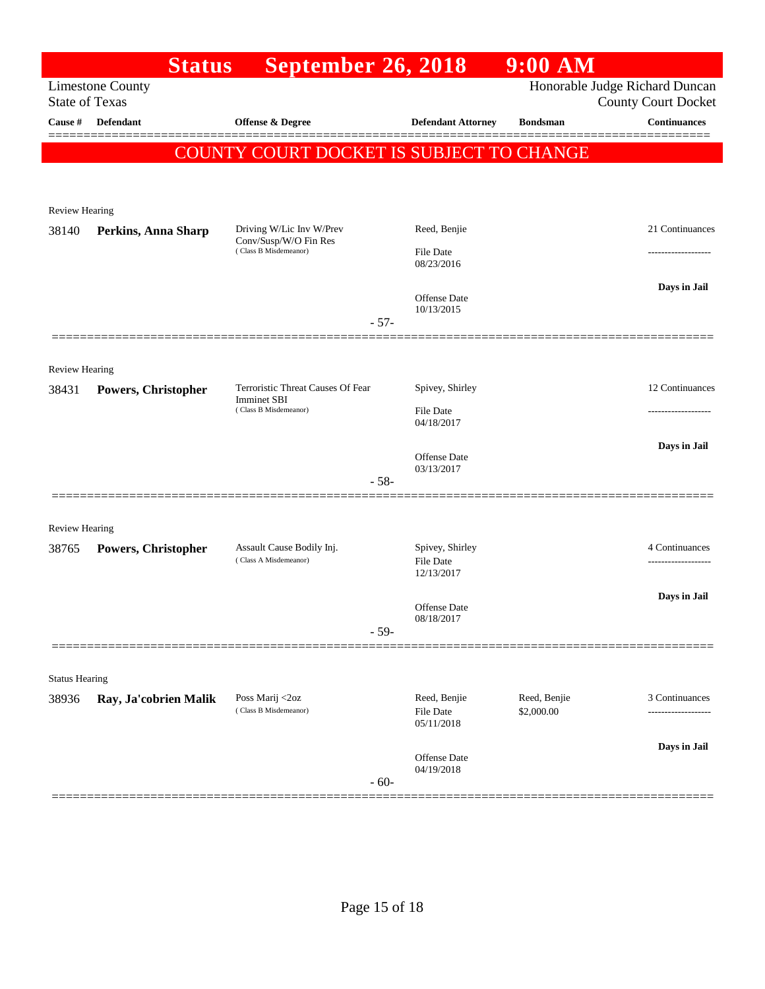|                                | <b>Status</b>           | <b>September 26, 2018</b>                          |                                         | $9:00$ AM                  |                                                              |
|--------------------------------|-------------------------|----------------------------------------------------|-----------------------------------------|----------------------------|--------------------------------------------------------------|
| <b>State of Texas</b>          | <b>Limestone County</b> |                                                    |                                         |                            | Honorable Judge Richard Duncan<br><b>County Court Docket</b> |
| Cause $\#$                     | Defendant               | <b>Offense &amp; Degree</b>                        | <b>Defendant Attorney</b>               | <b>Bondsman</b>            | <b>Continuances</b>                                          |
|                                |                         | COUNTY COURT DOCKET IS SUBJECT TO CHANGE           |                                         |                            |                                                              |
|                                |                         |                                                    |                                         |                            |                                                              |
| <b>Review Hearing</b>          |                         |                                                    |                                         |                            |                                                              |
| 38140                          | Perkins, Anna Sharp     | Driving W/Lic Inv W/Prev                           | Reed, Benjie                            |                            | 21 Continuances                                              |
|                                |                         | Conv/Susp/W/O Fin Res<br>(Class B Misdemeanor)     | <b>File Date</b><br>08/23/2016          |                            | ----------------                                             |
|                                |                         |                                                    | <b>Offense</b> Date<br>10/13/2015       |                            | Days in Jail                                                 |
|                                |                         | $-57-$                                             |                                         |                            |                                                              |
|                                |                         |                                                    |                                         |                            |                                                              |
| <b>Review Hearing</b><br>38431 | Powers, Christopher     | Terroristic Threat Causes Of Fear                  | Spivey, Shirley                         |                            | 12 Continuances                                              |
|                                |                         | <b>Imminet SBI</b><br>(Class B Misdemeanor)        | <b>File Date</b>                        |                            |                                                              |
|                                |                         |                                                    | 04/18/2017                              |                            |                                                              |
|                                |                         |                                                    | <b>Offense</b> Date<br>03/13/2017       |                            | Days in Jail                                                 |
|                                |                         | $-58-$                                             |                                         |                            |                                                              |
|                                |                         |                                                    |                                         |                            |                                                              |
| <b>Review Hearing</b>          |                         |                                                    |                                         |                            |                                                              |
| 38765                          | Powers, Christopher     | Assault Cause Bodily Inj.<br>(Class A Misdemeanor) | Spivey, Shirley<br><b>File Date</b>     |                            | 4 Continuances<br>                                           |
|                                |                         |                                                    | 12/13/2017                              |                            | Days in Jail                                                 |
|                                |                         |                                                    | Offense Date<br>08/18/2017              |                            |                                                              |
|                                |                         | $-59-$                                             |                                         |                            |                                                              |
|                                |                         |                                                    |                                         |                            |                                                              |
| <b>Status Hearing</b>          |                         |                                                    |                                         |                            |                                                              |
| 38936                          | Ray, Ja'cobrien Malik   | Poss Marij <2oz<br>(Class B Misdemeanor)           | Reed, Benjie<br>File Date<br>05/11/2018 | Reed, Benjie<br>\$2,000.00 | 3 Continuances                                               |
|                                |                         |                                                    | Offense Date                            |                            | Days in Jail                                                 |
|                                |                         | $-60-$                                             | 04/19/2018                              |                            |                                                              |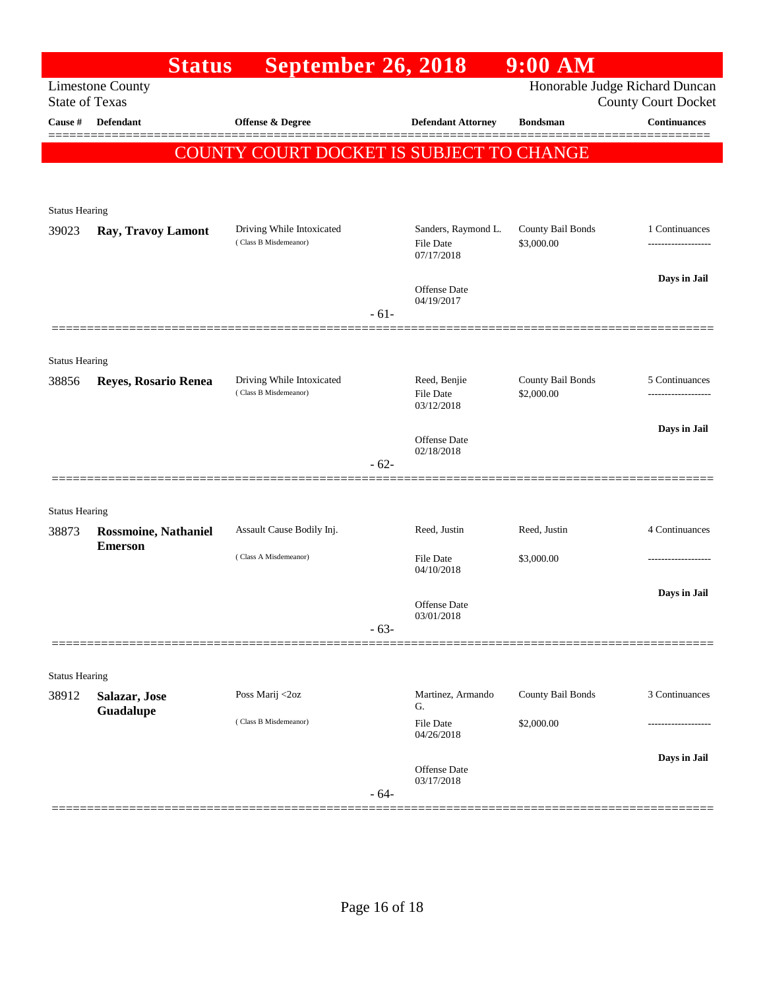|                       | <b>Status</b>               | <b>September 26, 2018</b>                          |        |                                                | 9:00 AM                         |                                                              |
|-----------------------|-----------------------------|----------------------------------------------------|--------|------------------------------------------------|---------------------------------|--------------------------------------------------------------|
| <b>State of Texas</b> | <b>Limestone County</b>     |                                                    |        |                                                |                                 | Honorable Judge Richard Duncan<br><b>County Court Docket</b> |
| Cause $\#$            | <b>Defendant</b>            | <b>Offense &amp; Degree</b>                        |        | <b>Defendant Attorney</b>                      | <b>Bondsman</b>                 | <b>Continuances</b>                                          |
|                       |                             | COUNTY COURT DOCKET IS SUBJECT TO CHANGE           |        |                                                |                                 |                                                              |
|                       |                             |                                                    |        |                                                |                                 |                                                              |
| <b>Status Hearing</b> |                             |                                                    |        |                                                |                                 |                                                              |
| 39023                 | Ray, Travoy Lamont          | Driving While Intoxicated<br>(Class B Misdemeanor) |        | Sanders, Raymond L.<br>File Date               | County Bail Bonds<br>\$3,000.00 | 1 Continuances                                               |
|                       |                             |                                                    |        | 07/17/2018                                     |                                 |                                                              |
|                       |                             |                                                    |        | Offense Date<br>04/19/2017                     |                                 | Days in Jail                                                 |
|                       |                             |                                                    | $-61-$ |                                                |                                 |                                                              |
|                       |                             |                                                    |        |                                                |                                 |                                                              |
| <b>Status Hearing</b> |                             |                                                    |        |                                                |                                 |                                                              |
| 38856                 | Reyes, Rosario Renea        | Driving While Intoxicated<br>(Class B Misdemeanor) |        | Reed, Benjie<br><b>File Date</b><br>03/12/2018 | County Bail Bonds<br>\$2,000.00 | 5 Continuances                                               |
|                       |                             |                                                    |        |                                                |                                 | Days in Jail                                                 |
|                       |                             |                                                    |        | Offense Date<br>02/18/2018                     |                                 |                                                              |
|                       |                             |                                                    | $-62-$ |                                                |                                 |                                                              |
| <b>Status Hearing</b> |                             |                                                    |        |                                                |                                 |                                                              |
| 38873                 | <b>Rossmoine, Nathaniel</b> | Assault Cause Bodily Inj.                          |        | Reed, Justin                                   | Reed, Justin                    | 4 Continuances                                               |
|                       | <b>Emerson</b>              | (Class A Misdemeanor)                              |        | <b>File Date</b>                               | \$3,000.00                      |                                                              |
|                       |                             |                                                    |        | 04/10/2018                                     |                                 |                                                              |
|                       |                             |                                                    |        | <b>Offense</b> Date                            |                                 | Days in Jail                                                 |
|                       |                             |                                                    | $-63-$ | 03/01/2018                                     |                                 |                                                              |
|                       |                             |                                                    |        |                                                |                                 |                                                              |
| <b>Status Hearing</b> |                             |                                                    |        |                                                |                                 |                                                              |
| 38912                 | Salazar, Jose<br>Guadalupe  | Poss Marij <2oz                                    |        | Martinez, Armando<br>G.                        | County Bail Bonds               | 3 Continuances                                               |
|                       |                             | (Class B Misdemeanor)                              |        | <b>File Date</b><br>04/26/2018                 | \$2,000.00                      |                                                              |
|                       |                             |                                                    |        |                                                |                                 | Days in Jail                                                 |
|                       |                             |                                                    | $-64-$ | Offense Date<br>03/17/2018                     |                                 |                                                              |
|                       |                             |                                                    |        |                                                |                                 |                                                              |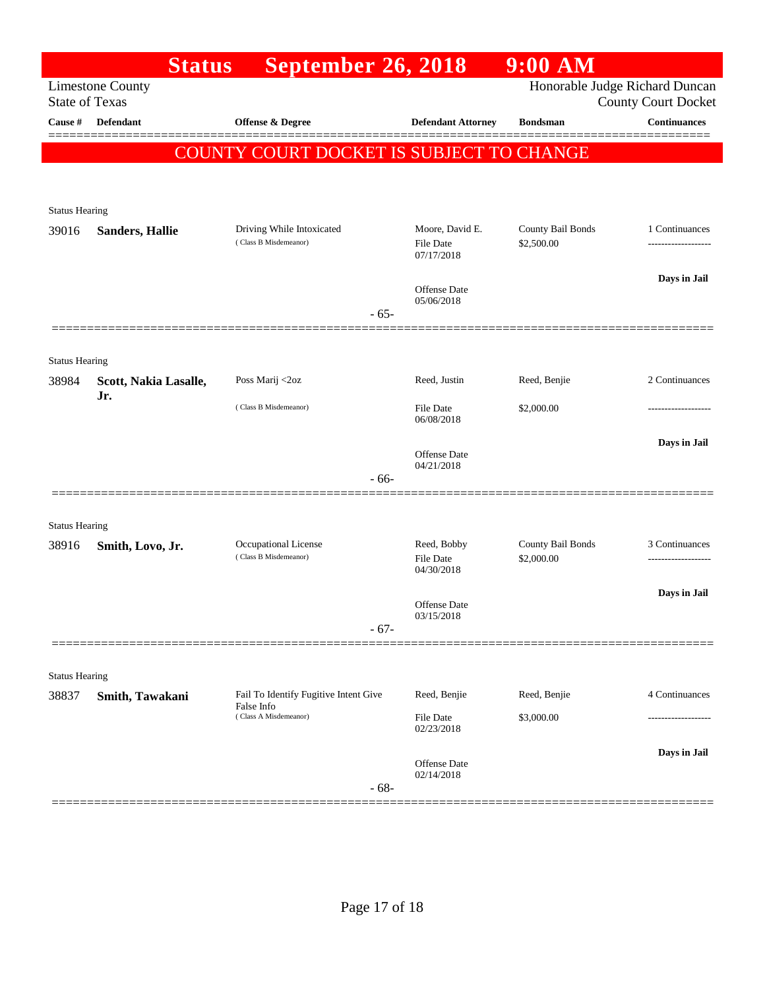| <b>Limestone County</b>        |                              |                                                     | <b>September 26, 2018</b>                         |                                 |                                                              |
|--------------------------------|------------------------------|-----------------------------------------------------|---------------------------------------------------|---------------------------------|--------------------------------------------------------------|
|                                | <b>State of Texas</b>        |                                                     |                                                   |                                 | Honorable Judge Richard Duncan<br><b>County Court Docket</b> |
| Cause #                        | <b>Defendant</b>             | Offense & Degree                                    | <b>Defendant Attorney</b>                         | <b>Bondsman</b>                 | <b>Continuances</b>                                          |
|                                |                              | COUNTY COURT DOCKET IS SUBJECT TO CHANGE            |                                                   |                                 |                                                              |
|                                |                              |                                                     |                                                   |                                 |                                                              |
|                                |                              |                                                     |                                                   |                                 |                                                              |
| <b>Status Hearing</b>          |                              |                                                     |                                                   |                                 |                                                              |
| 39016                          | <b>Sanders, Hallie</b>       | Driving While Intoxicated<br>(Class B Misdemeanor)  | Moore, David E.<br><b>File Date</b><br>07/17/2018 | County Bail Bonds<br>\$2,500.00 | 1 Continuances                                               |
|                                |                              |                                                     | Offense Date<br>05/06/2018                        |                                 | Days in Jail                                                 |
|                                |                              | $-65-$                                              |                                                   |                                 |                                                              |
|                                |                              |                                                     |                                                   |                                 |                                                              |
| <b>Status Hearing</b><br>38984 | Scott, Nakia Lasalle,<br>Jr. | Poss Marij <2oz                                     | Reed, Justin                                      | Reed, Benjie                    | 2 Continuances                                               |
|                                |                              | (Class B Misdemeanor)                               | <b>File Date</b><br>06/08/2018                    | \$2,000.00                      |                                                              |
|                                |                              |                                                     | Offense Date                                      |                                 | Days in Jail                                                 |
|                                |                              | $-66-$                                              | 04/21/2018                                        |                                 |                                                              |
|                                |                              |                                                     |                                                   |                                 |                                                              |
| <b>Status Hearing</b>          |                              |                                                     |                                                   |                                 |                                                              |
| 38916                          | Smith, Lovo, Jr.             | Occupational License<br>(Class B Misdemeanor)       | Reed, Bobby<br><b>File Date</b><br>04/30/2018     | County Bail Bonds<br>\$2,000.00 | 3 Continuances                                               |
|                                |                              |                                                     | Offense Date                                      |                                 | Days in Jail                                                 |
|                                |                              | $-67-$                                              | 03/15/2018                                        |                                 |                                                              |
|                                |                              |                                                     |                                                   |                                 |                                                              |
| <b>Status Hearing</b>          |                              |                                                     |                                                   |                                 |                                                              |
| 38837                          | Smith, Tawakani              | Fail To Identify Fugitive Intent Give<br>False Info | Reed, Benjie                                      | Reed, Benjie                    | 4 Continuances                                               |
|                                |                              | (Class A Misdemeanor)                               | File Date<br>02/23/2018                           | \$3,000.00                      |                                                              |
|                                |                              | $-68-$                                              | Offense Date<br>02/14/2018                        |                                 | Days in Jail                                                 |